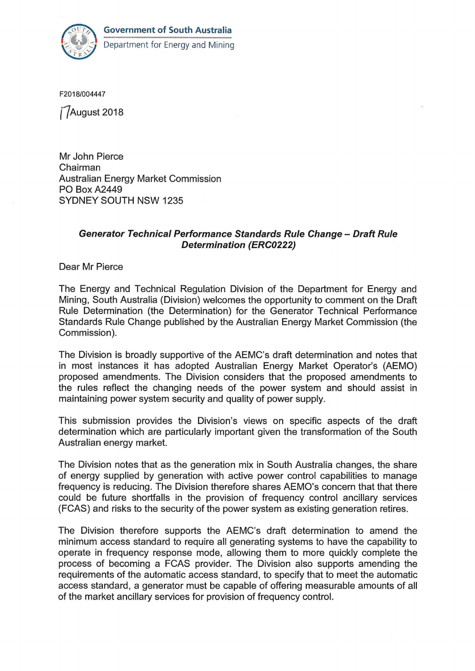

F2018/004447

*(f* August 2018

Mr John Pierce Chairman Australian Energy Market Commission PO Box A2449 SYDNEY SOUTH NSW 1235

## Generator Technical Performance Standards Rule Change- Draft Rule Determination (ERC0222)

Dear Mr Pierce

The Energy and Technical Regulation Division of the Department for Energy and Mining, South Australia (Division) welcomes the opportunity to comment on the Draft Rule Determination (the Determination) for the Generator Technical Performance Standards Rule Change published by the Australian Energy Market Commission (the Commission).

The Division is broadly supportive of the AEMC's draft determination and notes that in most instances it has adopted Australian Energy Market Operator's (AEMO) proposed amendments. The Division considers that the proposed amendments to the rules reflect the changing needs of the power system and should assist in maintaining power system security and quality of power supply.

This submission provides the Division's views on specific aspects of the draft determination which are particularly important given the transformation of the South Australian energy market.

The Division notes that as the generation mix in South Australia changes, the share of energy supplied by generation with active power control capabilities to manage frequency is reducing. The Division therefore shares AEMO's concern that that there could be future shortfalls in the provision of frequency control ancillary services (FCAS) and risks to the security of the power system as existing generation retires.

The Division therefore supports the AEMC's draft determination to amend the minimum access standard to require all generating systems to have the capability to operate in frequency response mode, allowing them to more quickly complete the process of becoming a FCAS provider. The Division also supports amending the requirements of the automatic access standard, to specify that to meet the automatic access standard, a generator must be capable of offering measurable amounts of all of the market ancillary services for provision of frequency control.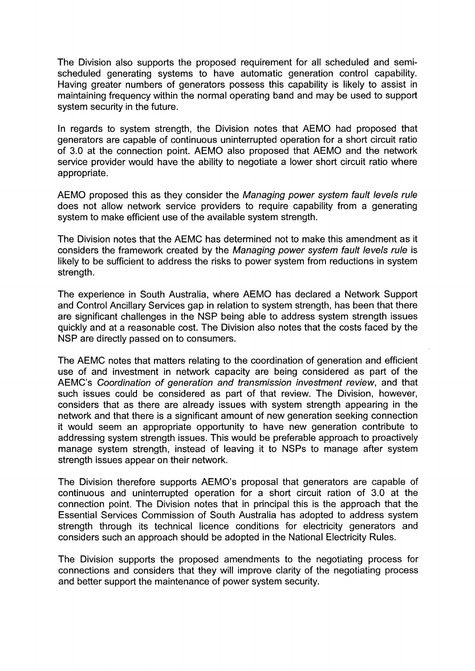The Division also supports the proposed requirement for all scheduled and semischeduled generating systems to have automatic generation control capability. Having greater numbers of generators possess this capability is likely to assist in maintaining frequency within the normal operating band and may be used to support system security in the future.

In regards to system strength, the Division notes that AEMO had proposed that generators are capable of continuous uninterrupted operation for a short circuit ratio of 3.0 at the connection point. AEMO also proposed that AEMO and the network service provider would have the ability to negotiate a lower short circuit ratio where appropriate.

AEMO proposed this as they consider the Managing power system fault levels rule does not allow network service providers to require capability from a generating system to make efficient use of the available system strength.

The Division notes that the AEMC has determined not to make this amendment as it considers the framework created by the Managing power system fault levels rule is likely to be sufficient to address the risks to power system from reductions in system strength.

The experience in South Australia, where AEMO has declared a Network Support and Control Ancillary Services gap in relation to system strength, has been that there are significant challenges in the NSP being able to address system strength issues quickly and at a reasonable cost. The Division also notes that the costs faced by the NSP are directly passed on to consumers.

The AEMC notes that matters relating to the coordination of generation and efficient use of and investment in network capacity are being considered as part of the AEMC's Coordination of generation and transmission investment review, and that such issues could be considered as part of that review. The Division, however, considers that as there are already issues with system strength appearing in the network and that there is a significant amount of new generation seeking connection it would seem an appropriate opportunity to have new generation contribute to addressing system strength issues. This would be preferable approach to proactively manage system strength, instead of leaving it to NSPs to manage after system strength issues appear on their network.

The Division therefore supports AEMO's proposal that generators are capable of continuous and uninterrupted operation for a short circuit ration of 3.0 at the connection point. The Division notes that in principal this is the approach that the Essential Services Commission of South Australia has adopted to address system strength through its technical licence conditions for electricity generators and considers such an approach should be adopted in the National Electricity Rules.

The Division supports the proposed amendments to the negotiating process for connections and considers that they will improve clarity of the negotiating process and better support the maintenance of power system security.